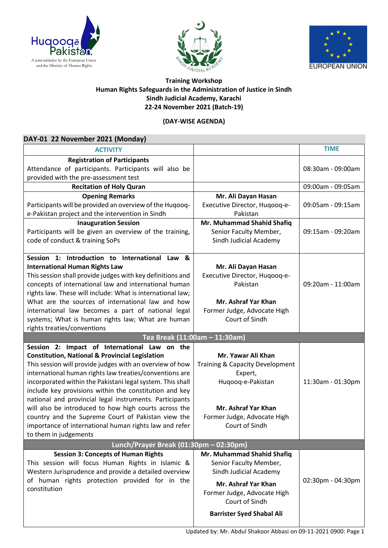





## **Training Workshop Human Rights Safeguards in the Administration of Justice in Sindh Sindh Judicial Academy, Karachi 22-24 November 2021 (Batch-19)**

## **(DAY-WISE AGENDA)**

| DAY-01 22 November 2021 (Monday)                                                                            |                                                    |                   |
|-------------------------------------------------------------------------------------------------------------|----------------------------------------------------|-------------------|
| <b>ACTIVITY</b>                                                                                             |                                                    | <b>TIME</b>       |
| <b>Registration of Participants</b>                                                                         |                                                    |                   |
| Attendance of participants. Participants will also be<br>provided with the pre-assessment test              |                                                    | 08:30am - 09:00am |
| <b>Recitation of Holy Quran</b>                                                                             |                                                    | 09:00am - 09:05am |
| <b>Opening Remarks</b>                                                                                      | Mr. Ali Dayan Hasan                                |                   |
| Participants will be provided an overview of the Huqooq-                                                    | Executive Director, Huqooq-e-                      | 09:05am - 09:15am |
| e-Pakistan project and the intervention in Sindh                                                            | Pakistan                                           |                   |
| <b>Inauguration Session</b>                                                                                 | Mr. Muhammad Shahid Shafiq                         |                   |
| Participants will be given an overview of the training,                                                     | Senior Faculty Member,                             | 09:15am - 09:20am |
| code of conduct & training SoPs                                                                             | Sindh Judicial Academy                             |                   |
| Session 1: Introduction to International Law<br>8.                                                          |                                                    |                   |
| <b>International Human Rights Law</b>                                                                       | Mr. Ali Dayan Hasan                                |                   |
| This session shall provide judges with key definitions and                                                  | Executive Director, Huqooq-e-                      |                   |
| concepts of international law and international human                                                       | Pakistan                                           | 09:20am - 11:00am |
| rights law. These will include: What is international law;                                                  |                                                    |                   |
| What are the sources of international law and how                                                           | Mr. Ashraf Yar Khan                                |                   |
| international law becomes a part of national legal                                                          | Former Judge, Advocate High                        |                   |
| systems; What is human rights law; What are human<br>rights treaties/conventions                            | Court of Sindh                                     |                   |
|                                                                                                             |                                                    |                   |
|                                                                                                             |                                                    |                   |
|                                                                                                             | Tea Break (11:00am - 11:30am)                      |                   |
| Session 2: Impact of International Law on the<br><b>Constitution, National &amp; Provincial Legislation</b> | Mr. Yawar Ali Khan                                 |                   |
| This session will provide judges with an overview of how                                                    | Training & Capacity Development                    |                   |
| international human rights law treaties/conventions are                                                     | Expert,                                            |                   |
| incorporated within the Pakistani legal system. This shall                                                  | Huqooq-e-Pakistan                                  | 11:30am - 01:30pm |
| include key provisions within the constitution and key                                                      |                                                    |                   |
| national and provincial legal instruments. Participants                                                     |                                                    |                   |
| will also be introduced to how high courts across the                                                       | Mr. Ashraf Yar Khan                                |                   |
| country and the Supreme Court of Pakistan view the                                                          | Former Judge, Advocate High                        |                   |
| importance of international human rights law and refer                                                      | Court of Sindh                                     |                   |
| to them in judgements                                                                                       |                                                    |                   |
| Lunch/Prayer Break (01:30pm - 02:30pm)                                                                      |                                                    |                   |
| <b>Session 3: Concepts of Human Rights</b>                                                                  | Mr. Muhammad Shahid Shafiq                         |                   |
| This session will focus Human Rights in Islamic &                                                           | Senior Faculty Member,                             |                   |
| Western Jurisprudence and provide a detailed overview                                                       | Sindh Judicial Academy                             |                   |
| of human rights protection provided for in the<br>constitution                                              | Mr. Ashraf Yar Khan                                | 02:30pm - 04:30pm |
|                                                                                                             | Former Judge, Advocate High                        |                   |
|                                                                                                             | Court of Sindh<br><b>Barrister Syed Shabal Ali</b> |                   |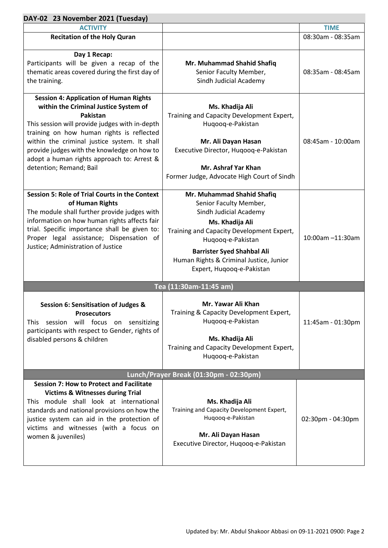| <b>ACTIVITY</b>                                                                                                                                                                                                                                                                                                                                                           |                                                                                                                                                                                                                                                                                  | <b>TIME</b>       |  |  |
|---------------------------------------------------------------------------------------------------------------------------------------------------------------------------------------------------------------------------------------------------------------------------------------------------------------------------------------------------------------------------|----------------------------------------------------------------------------------------------------------------------------------------------------------------------------------------------------------------------------------------------------------------------------------|-------------------|--|--|
| <b>Recitation of the Holy Quran</b>                                                                                                                                                                                                                                                                                                                                       |                                                                                                                                                                                                                                                                                  | 08:30am - 08:35am |  |  |
| Day 1 Recap:<br>Participants will be given a recap of the<br>thematic areas covered during the first day of<br>the training.                                                                                                                                                                                                                                              | Mr. Muhammad Shahid Shafiq<br>Senior Faculty Member,<br>Sindh Judicial Academy                                                                                                                                                                                                   | 08:35am - 08:45am |  |  |
| <b>Session 4: Application of Human Rights</b><br>within the Criminal Justice System of<br>Pakistan<br>This session will provide judges with in-depth<br>training on how human rights is reflected<br>within the criminal justice system. It shall<br>provide judges with the knowledge on how to<br>adopt a human rights approach to: Arrest &<br>detention; Remand; Bail | Ms. Khadija Ali<br>Training and Capacity Development Expert,<br>Huqooq-e-Pakistan<br>Mr. Ali Dayan Hasan<br>Executive Director, Huqooq-e-Pakistan<br>Mr. Ashraf Yar Khan<br>Former Judge, Advocate High Court of Sindh                                                           | 08:45am - 10:00am |  |  |
| <b>Session 5: Role of Trial Courts in the Context</b><br>of Human Rights<br>The module shall further provide judges with<br>information on how human rights affects fair<br>trial. Specific importance shall be given to:<br>Proper legal assistance; Dispensation of<br>Justice; Administration of Justice                                                               | Mr. Muhammad Shahid Shafiq<br>Senior Faculty Member,<br>Sindh Judicial Academy<br>Ms. Khadija Ali<br>Training and Capacity Development Expert,<br>Huqooq-e-Pakistan<br><b>Barrister Syed Shahbal Ali</b><br>Human Rights & Criminal Justice, Junior<br>Expert, Huqooq-e-Pakistan | 10:00am -11:30am  |  |  |
| Tea (11:30am-11:45 am)                                                                                                                                                                                                                                                                                                                                                    |                                                                                                                                                                                                                                                                                  |                   |  |  |
| Session 6: Sensitisation of Judges &<br><b>Prosecutors</b><br>This session will focus on sensitizing<br>participants with respect to Gender, rights of<br>disabled persons & children                                                                                                                                                                                     | Mr. Yawar Ali Khan<br>Training & Capacity Development Expert,<br>Hugoog-e-Pakistan<br>Ms. Khadija Ali<br>Training and Capacity Development Expert,<br>Huqooq-e-Pakistan                                                                                                          | 11:45am - 01:30pm |  |  |
| Lunch/Prayer Break (01:30pm - 02:30pm)                                                                                                                                                                                                                                                                                                                                    |                                                                                                                                                                                                                                                                                  |                   |  |  |
| <b>Session 7: How to Protect and Facilitate</b><br><b>Victims &amp; Witnesses during Trial</b><br>This module shall look at international<br>standards and national provisions on how the<br>justice system can aid in the protection of<br>victims and witnesses (with a focus on<br>women & juveniles)                                                                  | Ms. Khadija Ali<br>Training and Capacity Development Expert,<br>Huqooq-e-Pakistan<br>Mr. Ali Dayan Hasan<br>Executive Director, Huqooq-e-Pakistan                                                                                                                                | 02:30pm - 04:30pm |  |  |